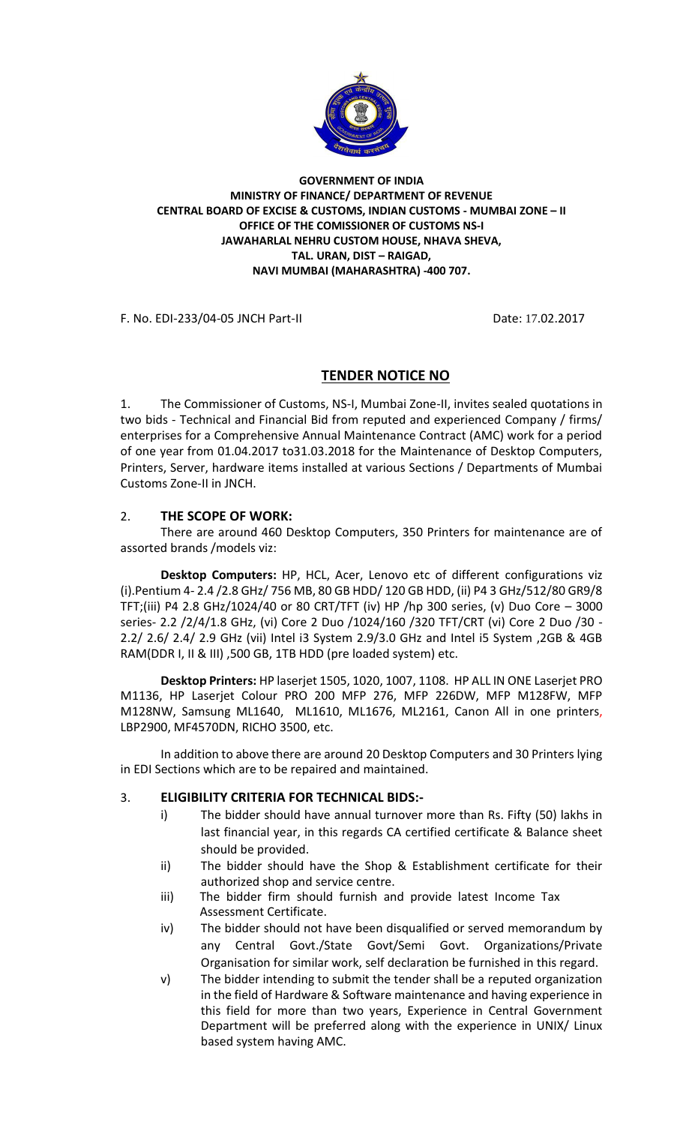

**GOVERNMENT OF INDIA MINISTRY OF FINANCE/ DEPARTMENT OF REVENUE CENTRAL BOARD OF EXCISE & CUSTOMS, INDIAN CUSTOMS - MUMBAI ZONE – II OFFICE OF THE COMISSIONER OF CUSTOMS NS-I JAWAHARLAL NEHRU CUSTOM HOUSE, NHAVA SHEVA, TAL. URAN, DIST – RAIGAD, NAVI MUMBAI (MAHARASHTRA) -400 707.**

F. No. EDI-233/04-05 JNCH Part-II Date: 17.02.2017

## **TENDER NOTICE NO**

1. The Commissioner of Customs, NS-I, Mumbai Zone-II, invites sealed quotations in two bids - Technical and Financial Bid from reputed and experienced Company / firms/ enterprises for a Comprehensive Annual Maintenance Contract (AMC) work for a period of one year from 01.04.2017 to31.03.2018 for the Maintenance of Desktop Computers, Printers, Server, hardware items installed at various Sections / Departments of Mumbai Customs Zone-II in JNCH.

## 2. **THE SCOPE OF WORK:**

There are around 460 Desktop Computers, 350 Printers for maintenance are of assorted brands /models viz:

**Desktop Computers:** HP, HCL, Acer, Lenovo etc of different configurations viz (i).Pentium 4- 2.4 /2.8 GHz/ 756 MB, 80 GB HDD/ 120 GB HDD, (ii) P4 3 GHz/512/80 GR9/8 TFT;(iii) P4 2.8 GHz/1024/40 or 80 CRT/TFT (iv) HP /hp 300 series, (v) Duo Core – 3000 series- 2.2 /2/4/1.8 GHz, (vi) Core 2 Duo /1024/160 /320 TFT/CRT (vi) Core 2 Duo /30 - 2.2/ 2.6/ 2.4/ 2.9 GHz (vii) Intel i3 System 2.9/3.0 GHz and Intel i5 System ,2GB & 4GB RAM(DDR I, II & III), 500 GB, 1TB HDD (pre loaded system) etc.

**Desktop Printers:** HP laserjet 1505, 1020, 1007, 1108. HP ALL IN ONE Laserjet PRO M1136, HP Laserjet Colour PRO 200 MFP 276, MFP 226DW, MFP M128FW, MFP M128NW, Samsung ML1640, ML1610, ML1676, ML2161, Canon All in one printers, LBP2900, MF4570DN, RICHO 3500, etc.

In addition to above there are around 20 Desktop Computers and 30 Printers lying in EDI Sections which are to be repaired and maintained.

## 3. **ELIGIBILITY CRITERIA FOR TECHNICAL BIDS:-**

- i) The bidder should have annual turnover more than Rs. Fifty (50) lakhs in last financial year, in this regards CA certified certificate & Balance sheet should be provided.
- ii) The bidder should have the Shop & Establishment certificate for their authorized shop and service centre.
- iii) The bidder firm should furnish and provide latest Income Tax Assessment Certificate.
- iv) The bidder should not have been disqualified or served memorandum by any Central Govt./State Govt/Semi Govt. Organizations/Private Organisation for similar work, self declaration be furnished in this regard.
- v) The bidder intending to submit the tender shall be a reputed organization in the field of Hardware & Software maintenance and having experience in this field for more than two years, Experience in Central Government Department will be preferred along with the experience in UNIX/ Linux based system having AMC.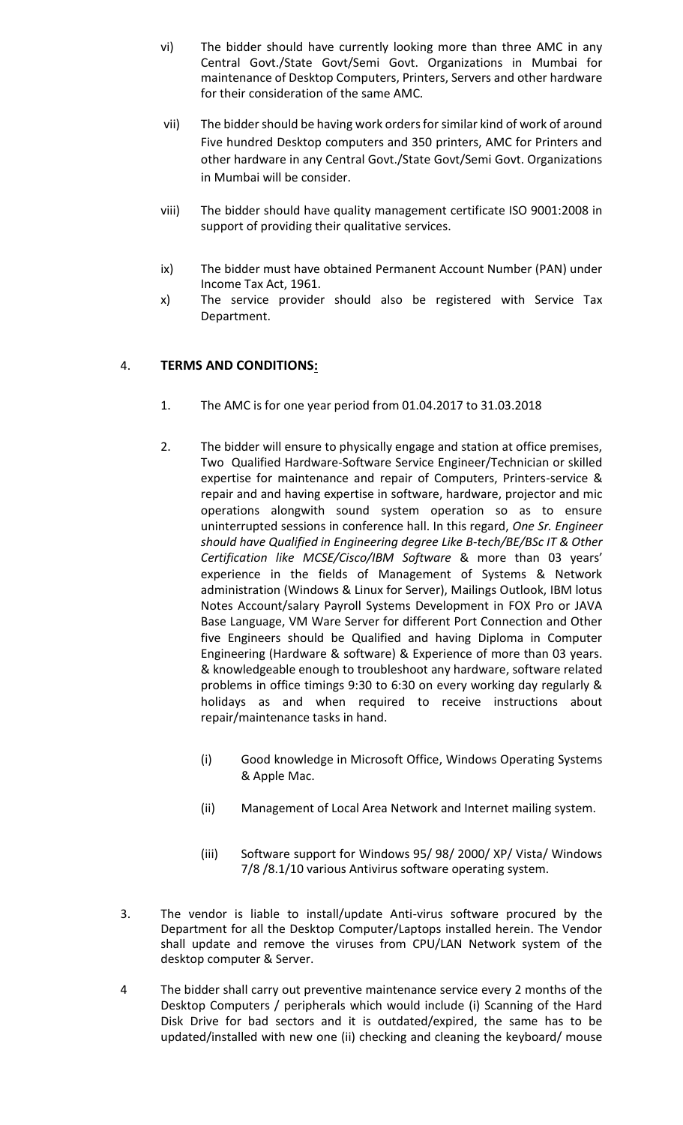- vi) The bidder should have currently looking more than three AMC in any Central Govt./State Govt/Semi Govt. Organizations in Mumbai for maintenance of Desktop Computers, Printers, Servers and other hardware for their consideration of the same AMC.
- vii) The bidder should be having work orders for similar kind of work of around Five hundred Desktop computers and 350 printers, AMC for Printers and other hardware in any Central Govt./State Govt/Semi Govt. Organizations in Mumbai will be consider.
- viii) The bidder should have quality management certificate ISO 9001:2008 in support of providing their qualitative services.
- ix) The bidder must have obtained Permanent Account Number (PAN) under Income Tax Act, 1961.
- x) The service provider should also be registered with Service Tax Department.

## 4. **TERMS AND CONDITIONS:**

- 1. The AMC is for one year period from 01.04.2017 to 31.03.2018
- 2. The bidder will ensure to physically engage and station at office premises, Two Qualified Hardware-Software Service Engineer/Technician or skilled expertise for maintenance and repair of Computers, Printers-service & repair and and having expertise in software, hardware, projector and mic operations alongwith sound system operation so as to ensure uninterrupted sessions in conference hall. In this regard, *One Sr. Engineer should have Qualified in Engineering degree Like B-tech/BE/BSc IT & Other Certification like MCSE/Cisco/IBM Software* & more than 03 years' experience in the fields of Management of Systems & Network administration (Windows & Linux for Server), Mailings Outlook, IBM lotus Notes Account/salary Payroll Systems Development in FOX Pro or JAVA Base Language, VM Ware Server for different Port Connection and Other five Engineers should be Qualified and having Diploma in Computer Engineering (Hardware & software) & Experience of more than 03 years. & knowledgeable enough to troubleshoot any hardware, software related problems in office timings 9:30 to 6:30 on every working day regularly & holidays as and when required to receive instructions about repair/maintenance tasks in hand.
	- (i) Good knowledge in Microsoft Office, Windows Operating Systems & Apple Mac.
	- (ii) Management of Local Area Network and Internet mailing system.
	- (iii) Software support for Windows 95/ 98/ 2000/ XP/ Vista/ Windows 7/8 /8.1/10 various Antivirus software operating system.
- 3. The vendor is liable to install/update Anti-virus software procured by the Department for all the Desktop Computer/Laptops installed herein. The Vendor shall update and remove the viruses from CPU/LAN Network system of the desktop computer & Server.
- 4 The bidder shall carry out preventive maintenance service every 2 months of the Desktop Computers / peripherals which would include (i) Scanning of the Hard Disk Drive for bad sectors and it is outdated/expired, the same has to be updated/installed with new one (ii) checking and cleaning the keyboard/ mouse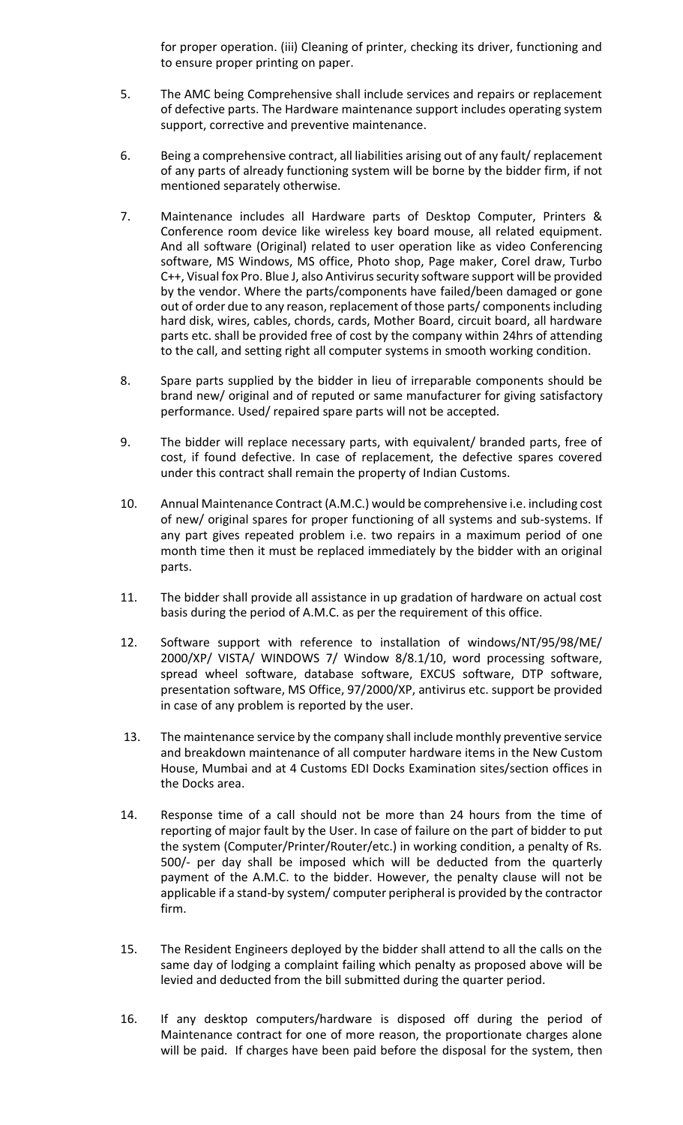for proper operation. (iii) Cleaning of printer, checking its driver, functioning and to ensure proper printing on paper.

- 5. The AMC being Comprehensive shall include services and repairs or replacement of defective parts. The Hardware maintenance support includes operating system support, corrective and preventive maintenance.
- 6. Being a comprehensive contract, all liabilities arising out of any fault/ replacement of any parts of already functioning system will be borne by the bidder firm, if not mentioned separately otherwise.
- 7. Maintenance includes all Hardware parts of Desktop Computer, Printers & Conference room device like wireless key board mouse, all related equipment. And all software (Original) related to user operation like as video Conferencing software, MS Windows, MS office, Photo shop, Page maker, Corel draw, Turbo C++, Visual fox Pro. Blue J, also Antivirus security software support will be provided by the vendor. Where the parts/components have failed/been damaged or gone out of order due to any reason, replacement of those parts/ components including hard disk, wires, cables, chords, cards, Mother Board, circuit board, all hardware parts etc. shall be provided free of cost by the company within 24hrs of attending to the call, and setting right all computer systems in smooth working condition.
- 8. Spare parts supplied by the bidder in lieu of irreparable components should be brand new/ original and of reputed or same manufacturer for giving satisfactory performance. Used/ repaired spare parts will not be accepted.
- 9. The bidder will replace necessary parts, with equivalent/ branded parts, free of cost, if found defective. In case of replacement, the defective spares covered under this contract shall remain the property of Indian Customs.
- 10. Annual Maintenance Contract (A.M.C.) would be comprehensive i.e. including cost of new/ original spares for proper functioning of all systems and sub-systems. If any part gives repeated problem i.e. two repairs in a maximum period of one month time then it must be replaced immediately by the bidder with an original parts.
- 11. The bidder shall provide all assistance in up gradation of hardware on actual cost basis during the period of A.M.C. as per the requirement of this office.
- 12. Software support with reference to installation of windows/NT/95/98/ME/ 2000/XP/ VISTA/ WINDOWS 7/ Window 8/8.1/10, word processing software, spread wheel software, database software, EXCUS software, DTP software, presentation software, MS Office, 97/2000/XP, antivirus etc. support be provided in case of any problem is reported by the user.
- 13. The maintenance service by the company shall include monthly preventive service and breakdown maintenance of all computer hardware items in the New Custom House, Mumbai and at 4 Customs EDI Docks Examination sites/section offices in the Docks area.
- 14. Response time of a call should not be more than 24 hours from the time of reporting of major fault by the User. In case of failure on the part of bidder to put the system (Computer/Printer/Router/etc.) in working condition, a penalty of Rs. 500/- per day shall be imposed which will be deducted from the quarterly payment of the A.M.C. to the bidder. However, the penalty clause will not be applicable if a stand-by system/ computer peripheral is provided by the contractor firm.
- 15. The Resident Engineers deployed by the bidder shall attend to all the calls on the same day of lodging a complaint failing which penalty as proposed above will be levied and deducted from the bill submitted during the quarter period.
- 16. If any desktop computers/hardware is disposed off during the period of Maintenance contract for one of more reason, the proportionate charges alone will be paid. If charges have been paid before the disposal for the system, then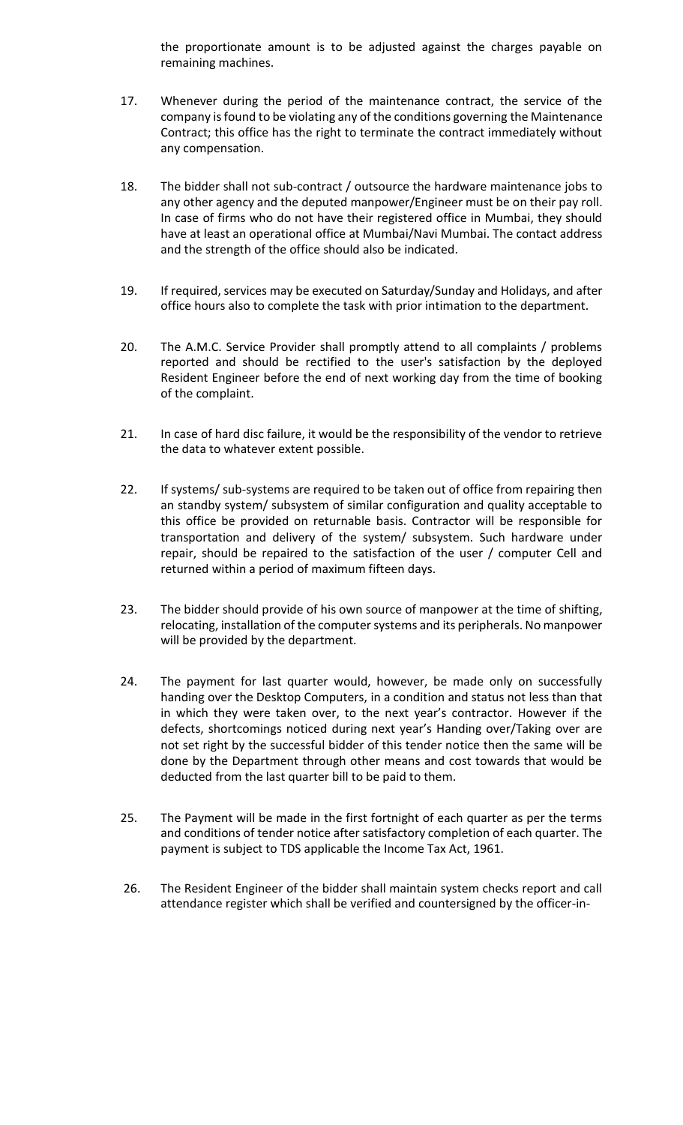the proportionate amount is to be adjusted against the charges payable on remaining machines.

- 17. Whenever during the period of the maintenance contract, the service of the company is found to be violating any of the conditions governing the Maintenance Contract; this office has the right to terminate the contract immediately without any compensation.
- 18. The bidder shall not sub-contract / outsource the hardware maintenance jobs to any other agency and the deputed manpower/Engineer must be on their pay roll. In case of firms who do not have their registered office in Mumbai, they should have at least an operational office at Mumbai/Navi Mumbai. The contact address and the strength of the office should also be indicated.
- 19. If required, services may be executed on Saturday/Sunday and Holidays, and after office hours also to complete the task with prior intimation to the department.
- 20. The A.M.C. Service Provider shall promptly attend to all complaints / problems reported and should be rectified to the user's satisfaction by the deployed Resident Engineer before the end of next working day from the time of booking of the complaint.
- 21. In case of hard disc failure, it would be the responsibility of the vendor to retrieve the data to whatever extent possible.
- 22. If systems/ sub-systems are required to be taken out of office from repairing then an standby system/ subsystem of similar configuration and quality acceptable to this office be provided on returnable basis. Contractor will be responsible for transportation and delivery of the system/ subsystem. Such hardware under repair, should be repaired to the satisfaction of the user / computer Cell and returned within a period of maximum fifteen days.
- 23. The bidder should provide of his own source of manpower at the time of shifting, relocating, installation of the computer systems and its peripherals. No manpower will be provided by the department.
- 24. The payment for last quarter would, however, be made only on successfully handing over the Desktop Computers, in a condition and status not less than that in which they were taken over, to the next year's contractor. However if the defects, shortcomings noticed during next year's Handing over/Taking over are not set right by the successful bidder of this tender notice then the same will be done by the Department through other means and cost towards that would be deducted from the last quarter bill to be paid to them.
- 25. The Payment will be made in the first fortnight of each quarter as per the terms and conditions of tender notice after satisfactory completion of each quarter. The payment is subject to TDS applicable the Income Tax Act, 1961.
- 26. The Resident Engineer of the bidder shall maintain system checks report and call attendance register which shall be verified and countersigned by the officer-in-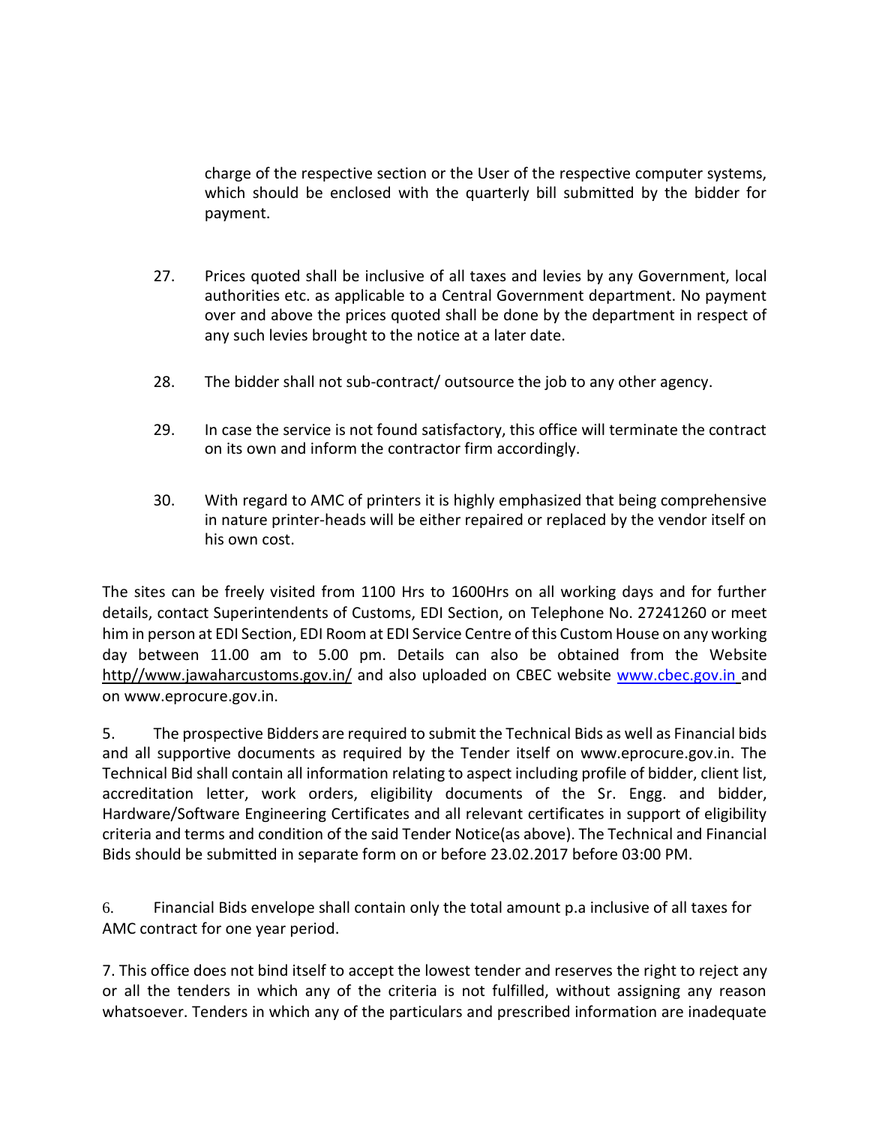charge of the respective section or the User of the respective computer systems, which should be enclosed with the quarterly bill submitted by the bidder for payment.

- 27. Prices quoted shall be inclusive of all taxes and levies by any Government, local authorities etc. as applicable to a Central Government department. No payment over and above the prices quoted shall be done by the department in respect of any such levies brought to the notice at a later date.
- 28. The bidder shall not sub-contract/ outsource the job to any other agency.
- 29. In case the service is not found satisfactory, this office will terminate the contract on its own and inform the contractor firm accordingly.
- 30. With regard to AMC of printers it is highly emphasized that being comprehensive in nature printer-heads will be either repaired or replaced by the vendor itself on his own cost.

The sites can be freely visited from 1100 Hrs to 1600Hrs on all working days and for further details, contact Superintendents of Customs, EDI Section, on Telephone No. 27241260 or meet him in person at EDI Section, EDI Room at EDI Service Centre of this Custom House on any working day between 11.00 am to 5.00 pm. Details can also be obtained from the Website http//www.jawaharcustoms.gov.in/ and also uploaded on CBEC website [www.cbec.gov.in](http://www.cbec.gov.in/) and on www.eprocure.gov.in.

5. The prospective Bidders are required to submit the Technical Bids as well as Financial bids and all supportive documents as required by the Tender itself on www.eprocure.gov.in. The Technical Bid shall contain all information relating to aspect including profile of bidder, client list, accreditation letter, work orders, eligibility documents of the Sr. Engg. and bidder, Hardware/Software Engineering Certificates and all relevant certificates in support of eligibility criteria and terms and condition of the said Tender Notice(as above). The Technical and Financial Bids should be submitted in separate form on or before 23.02.2017 before 03:00 PM.

6. Financial Bids envelope shall contain only the total amount p.a inclusive of all taxes for AMC contract for one year period.

7. This office does not bind itself to accept the lowest tender and reserves the right to reject any or all the tenders in which any of the criteria is not fulfilled, without assigning any reason whatsoever. Tenders in which any of the particulars and prescribed information are inadequate